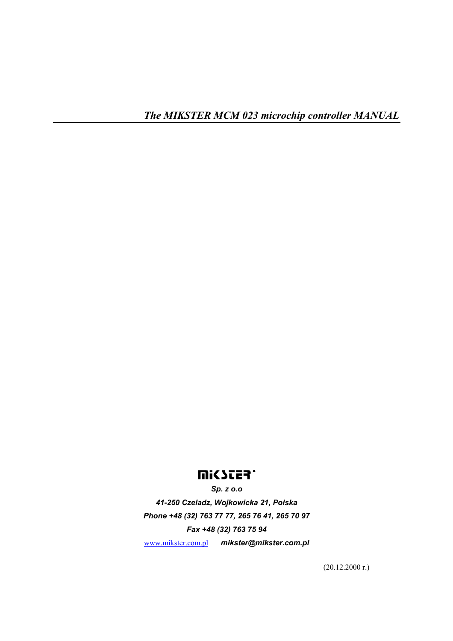# **UISSIES.**

*Sp. z o.o 41-250 Czeladz, Wojkowicka 21, Polska Phone +48 (32) 763 77 77, 265 76 41, 265 70 97 Fax +48 (32) 763 75 94*  www.mikster.com.pl *mikster@mikster.com.pl* 

(20.12.2000 r.)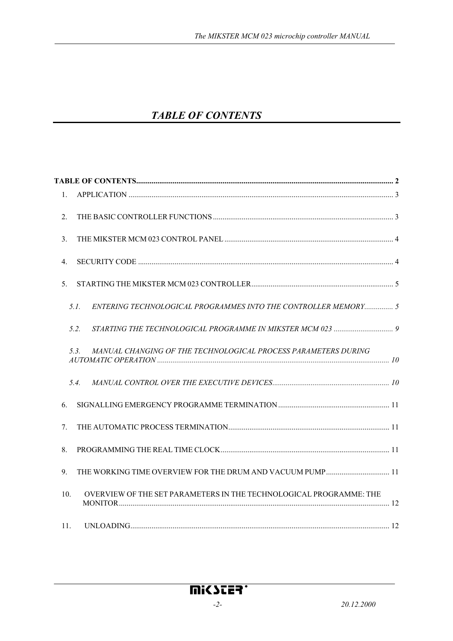# *TABLE OF CONTENTS*

| $\mathbf{1}$ .                                                            |  |
|---------------------------------------------------------------------------|--|
| 2.                                                                        |  |
| 3.                                                                        |  |
| $\overline{4}$                                                            |  |
| 5.                                                                        |  |
| ENTERING TECHNOLOGICAL PROGRAMMES INTO THE CONTROLLER MEMORY 5<br>5.1.    |  |
| 5.2.                                                                      |  |
| MANUAL CHANGING OF THE TECHNOLOGICAL PROCESS PARAMETERS DURING<br>5.3.    |  |
| 5.4.                                                                      |  |
| 6.                                                                        |  |
| $7_{\scriptscriptstyle{\circ}}$                                           |  |
| 8.                                                                        |  |
| 9.                                                                        |  |
| OVERVIEW OF THE SET PARAMETERS IN THE TECHNOLOGICAL PROGRAMME: THE<br>10. |  |
| 11.                                                                       |  |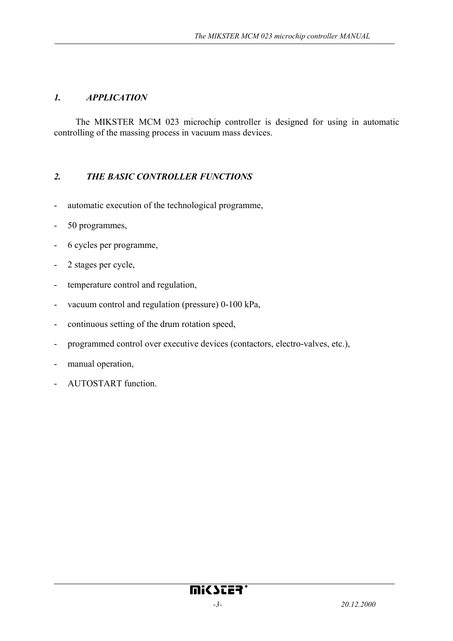#### *1. APPLICATION*

The MIKSTER MCM 023 microchip controller is designed for using in automatic controlling of the massing process in vacuum mass devices.

#### *2. THE BASIC CONTROLLER FUNCTIONS*

- automatic execution of the technological programme,
- 50 programmes,
- 6 cycles per programme,
- 2 stages per cycle,
- temperature control and regulation,
- vacuum control and regulation (pressure) 0-100 kPa,
- continuous setting of the drum rotation speed,
- programmed control over executive devices (contactors, electro-valves, etc.),
- manual operation,
- AUTOSTART function.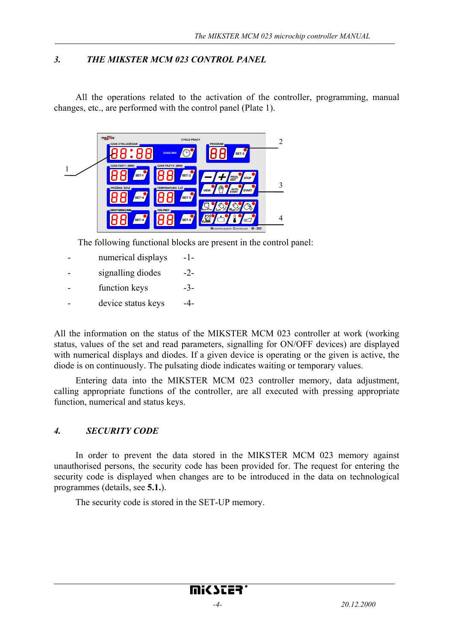#### *3. THE MIKSTER MCM 023 CONTROL PANEL*

All the operations related to the activation of the controller, programming, manual changes, etc., are performed with the control panel (Plate 1).



The following functional blocks are present in the control panel:

- numerical displays -1-
- signalling diodes -2-
- function keys -3-
- device status keys  $-4$ -

All the information on the status of the MIKSTER MCM 023 controller at work (working status, values of the set and read parameters, signalling for ON/OFF devices) are displayed with numerical displays and diodes. If a given device is operating or the given is active, the diode is on continuously. The pulsating diode indicates waiting or temporary values.

Entering data into the MIKSTER MCM 023 controller memory, data adjustment, calling appropriate functions of the controller, are all executed with pressing appropriate function, numerical and status keys.

#### *4. SECURITY CODE*

In order to prevent the data stored in the MIKSTER MCM 023 memory against unauthorised persons, the security code has been provided for. The request for entering the security code is displayed when changes are to be introduced in the data on technological programmes (details, see **5.1.**).

The security code is stored in the SET-UP memory.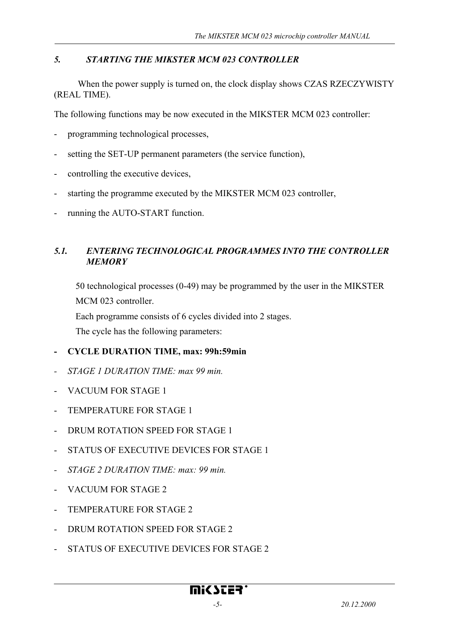#### *5. STARTING THE MIKSTER MCM 023 CONTROLLER*

 When the power supply is turned on, the clock display shows CZAS RZECZYWISTY (REAL TIME).

The following functions may be now executed in the MIKSTER MCM 023 controller:

- programming technological processes,
- setting the SET-UP permanent parameters (the service function),
- controlling the executive devices,
- starting the programme executed by the MIKSTER MCM 023 controller,
- running the AUTO-START function.

#### *5.1. ENTERING TECHNOLOGICAL PROGRAMMES INTO THE CONTROLLER MEMORY*

50 technological processes (0-49) may be programmed by the user in the MIKSTER MCM 023 controller.

Each programme consists of 6 cycles divided into 2 stages.

The cycle has the following parameters:

#### **- CYCLE DURATION TIME, max: 99h:59min**

- *STAGE 1 DURATION TIME: max 99 min.*
- VACUUM FOR STAGE 1
- TEMPERATURE FOR STAGE 1
- DRUM ROTATION SPEED FOR STAGE 1
- STATUS OF EXECUTIVE DEVICES FOR STAGE 1
- *STAGE 2 DURATION TIME: max: 99 min.*
- VACUUM FOR STAGE 2
- TEMPERATURE FOR STAGE 2
- DRUM ROTATION SPEED FOR STAGE 2
- STATUS OF EXECUTIVE DEVICES FOR STAGE 2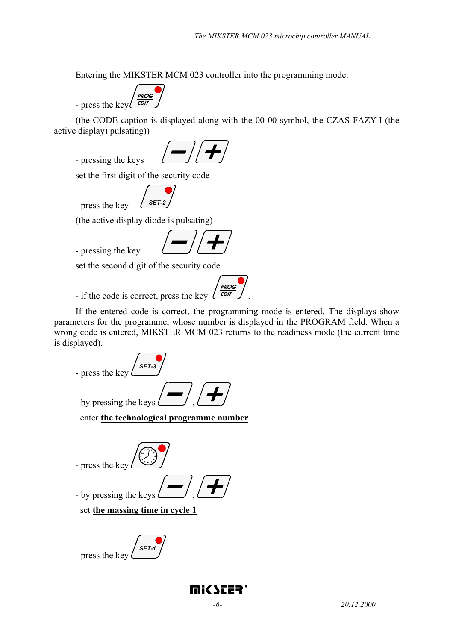Entering the MIKSTER MCM 023 controller into the programming mode:

**PROG EDIT** - press the key

(the CODE caption is displayed along with the 00 00 symbol, the CZAS FAZY I (the active display) pulsating))

- pressing the keys



set the first digit of the security code

- press the key **SET-2** 

(the active display diode is pulsating)

- pressing the key

set the second digit of the security code

- if the code is correct, press the key  $\sqrt{\frac{EDT}{E}}$ 

If the entered code is correct, the programming mode is entered. The displays show parameters for the programme, whose number is displayed in the PROGRAM field. When a wrong code is entered, MIKSTER MCM 023 returns to the readiness mode (the current time is displayed).

**PROG** 

- press the key **SET.** - by pressing the keys enter **the technological programme number** - press the key - by pressing the keys

set **the massing time in cycle 1**

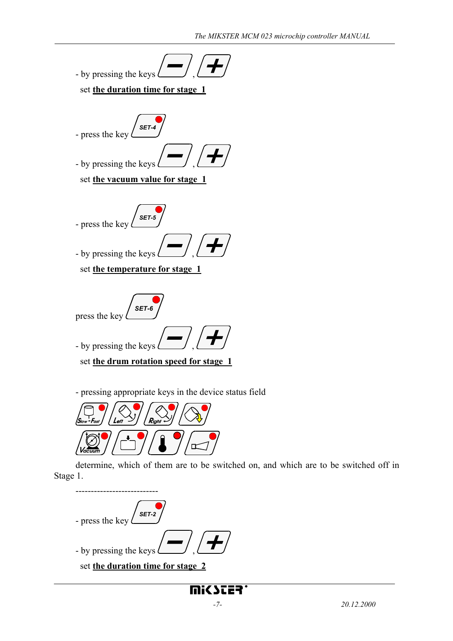



mi(SCER'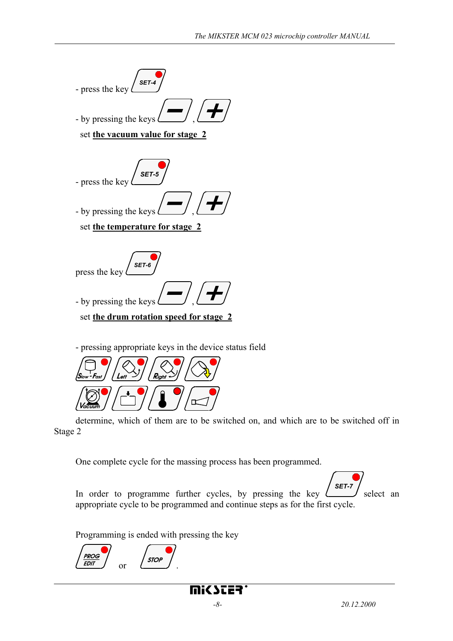

- pressing appropriate keys in the device status field



determine, which of them are to be switched on, and which are to be switched off in Stage 2

One complete cycle for the massing process has been programmed.

*SET-7*

In order to programme further cycles, by pressing the key  $\ell$ select an appropriate cycle to be programmed and continue steps as for the first cycle.

Programming is ended with pressing the key

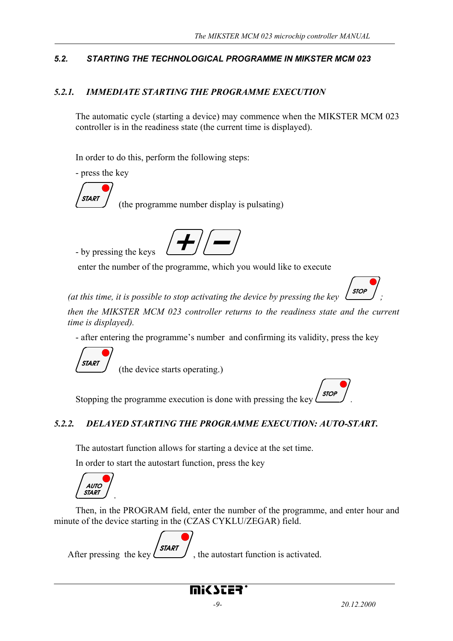### *5.2. STARTING THE TECHNOLOGICAL PROGRAMME IN MIKSTER MCM 023*

#### *5.2.1. IMMEDIATE STARTING THE PROGRAMME EXECUTION*

The automatic cycle (starting a device) may commence when the MIKSTER MCM 023 controller is in the readiness state (the current time is displayed).

In order to do this, perform the following steps:

- press the key

- by pressing the keys



(the programme number display is pulsating)



enter the number of the programme, which you would like to execute



*(at this time, it is possible to stop activating the device by pressing the key* 

*then the MIKSTER MCM 023 controller returns to the readiness state and the current time is displayed).* 

- after entering the programme's number and confirming its validity, press the key



(the device starts operating.)

Stopping the programme execution is done with pressing the key  $\frac{\text{stop}}{\text{loop}}$ 

## *5.2.2. DELAYED STARTING THE PROGRAMME EXECUTION: AUTO-START.*

The autostart function allows for starting a device at the set time.

In order to start the autostart function, press the key



Then, in the PROGRAM field, enter the number of the programme, and enter hour and minute of the device starting in the (CZAS CYKLU/ZEGAR) field.

**START** After pressing the key  $\left(\frac{\partial A}{\partial x}\right)$ , the autostart function is activated.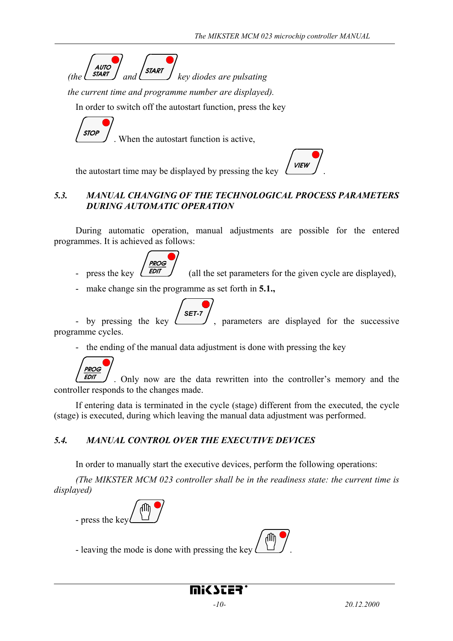*(the*  $\begin{pmatrix} \text{AVTO} \\ \text{SIART} \end{pmatrix}$  *and*  $\begin{pmatrix} \text{SIART} \\ \text{key} \end{pmatrix}$  *key diodes are pulsating* 

*the current time and programme number are displayed).* 

In order to switch off the autostart function, press the key

**STOP** 

. When the autostart function is active,

the autostart time may be displayed by pressing the key  $\angle$  VIEW



## *5.3. MANUAL CHANGING OF THE TECHNOLOGICAL PROCESS PARAMETERS DURING AUTOMATIC OPERATION*

During automatic operation, manual adjustments are possible for the entered programmes. It is achieved as follows:

**PROG** - press the key  $\left(\frac{EDT}{EDT}\right)$  (all the set parameters for the given cycle are displayed).

- make change sin the programme as set forth in **5.1.,** 

*SET-7*

- by pressing the key , parameters are displayed for the successive programme cycles.

- the ending of the manual data adjustment is done with pressing the key



. Only now are the data rewritten into the controller's memory and the controller responds to the changes made.

If entering data is terminated in the cycle (stage) different from the executed, the cycle (stage) is executed, during which leaving the manual data adjustment was performed.

## *5.4. MANUAL CONTROL OVER THE EXECUTIVE DEVICES*

In order to manually start the executive devices, perform the following operations:

*(The MIKSTER MCM 023 controller shall be in the readiness state: the current time is displayed)* 



- leaving the mode is done with pressing the key .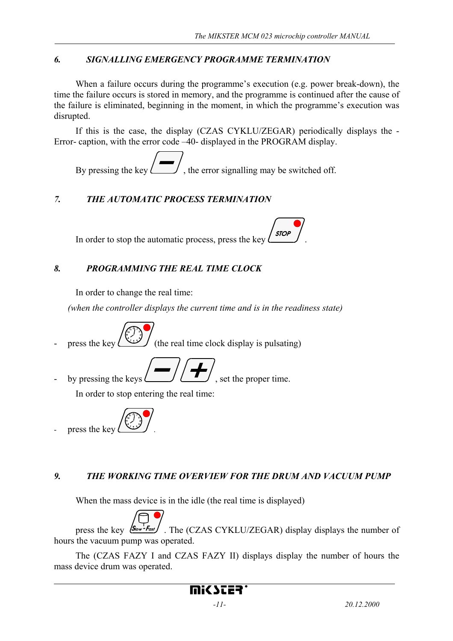#### *6. SIGNALLING EMERGENCY PROGRAMME TERMINATION*

When a failure occurs during the programme's execution (e.g. power break-down), the time the failure occurs is stored in memory, and the programme is continued after the cause of the failure is eliminated, beginning in the moment, in which the programme's execution was disrupted.

If this is the case, the display (CZAS CYKLU/ZEGAR) periodically displays the - Error- caption, with the error code –40- displayed in the PROGRAM display.

By pressing the key  $\leftarrow$ , the error signalling may be switched off.

## *7. THE AUTOMATIC PROCESS TERMINATION*

In order to stop the automatic process, press the key  $\int$  stop

## *8. PROGRAMMING THE REAL TIME CLOCK*

In order to change the real time:

*(when the controller displays the current time and is in the readiness state)* 

press the key  $\bigcup$  (the real time clock display is pulsating)

by pressing the keys  $\Box$   $\Box$ , set the proper time.

In order to stop entering the real time:



## *9. THE WORKING TIME OVERVIEW FOR THE DRUM AND VACUUM PUMP*

When the mass device is in the idle (the real time is displayed)



press the key  $\sqrt{\frac{S_{\text{low}} - F_{\text{cost}}}{F_{\text{low}}}}$ . The (CZAS CYKLU/ZEGAR) display displays the number of hours the vacuum pump was operated.

The (CZAS FAZY I and CZAS FAZY II) displays display the number of hours the mass device drum was operated.